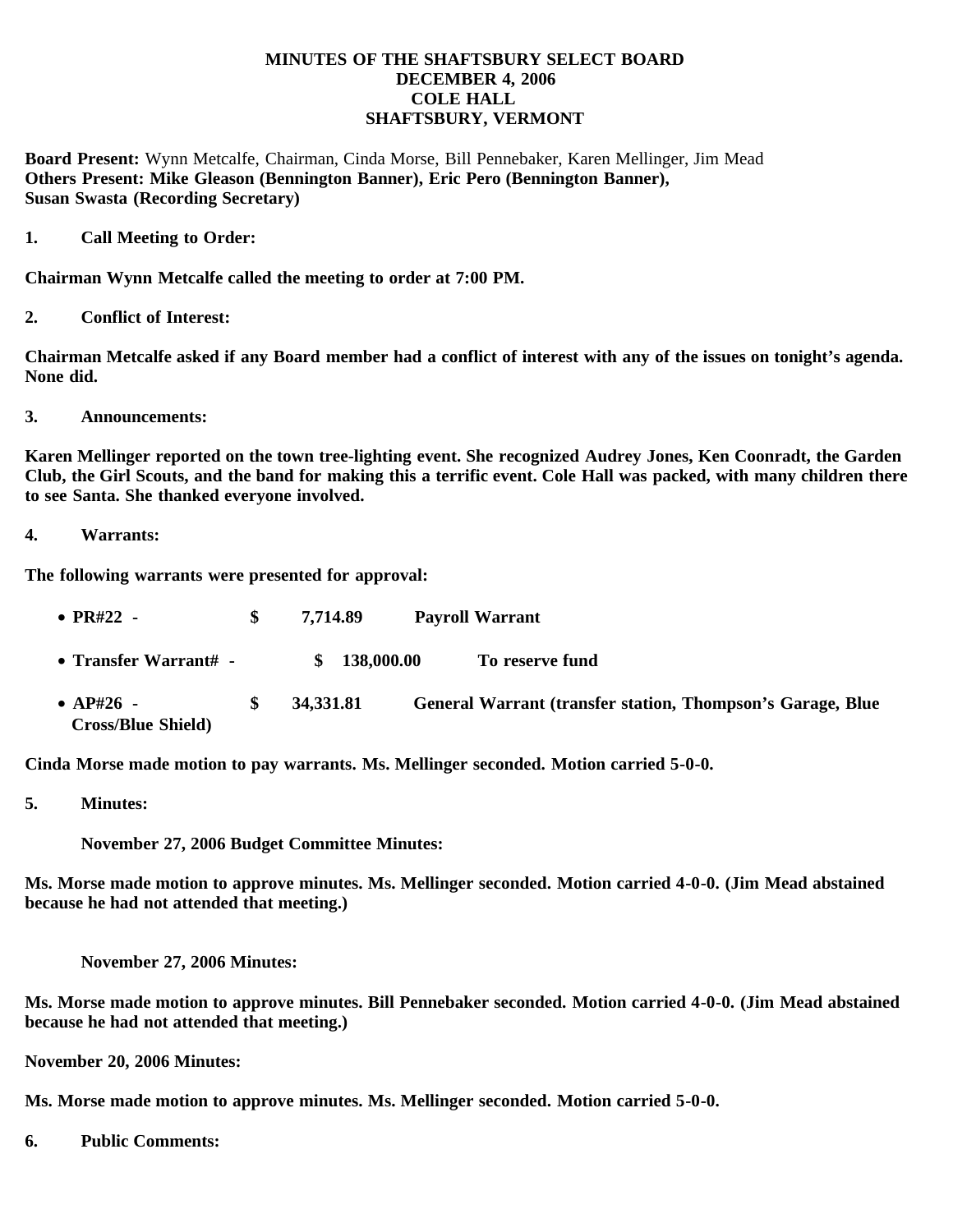## **MINUTES OF THE SHAFTSBURY SELECT BOARD DECEMBER 4, 2006 COLE HALL SHAFTSBURY, VERMONT**

**Board Present:** Wynn Metcalfe, Chairman, Cinda Morse, Bill Pennebaker, Karen Mellinger, Jim Mead **Others Present: Mike Gleason (Bennington Banner), Eric Pero (Bennington Banner), Susan Swasta (Recording Secretary)**

**1. Call Meeting to Order:**

**Chairman Wynn Metcalfe called the meeting to order at 7:00 PM.**

**2. Conflict of Interest:**

**Chairman Metcalfe asked if any Board member had a conflict of interest with any of the issues on tonight's agenda. None did.**

**3. Announcements:**

**Karen Mellinger reported on the town tree-lighting event. She recognized Audrey Jones, Ken Coonradt, the Garden Club, the Girl Scouts, and the band for making this a terrific event. Cole Hall was packed, with many children there to see Santa. She thanked everyone involved.**

**4. Warrants:**

**The following warrants were presented for approval:**

| • $PR#22 -$                              |     | 7.714.89     | <b>Payroll Warrant</b>                                     |
|------------------------------------------|-----|--------------|------------------------------------------------------------|
| • Transfer Warrant# $-$                  |     | \$138,000.00 | To reserve fund                                            |
| • $AP#26$ -<br><b>Cross/Blue Shield)</b> | SS. | 34,331.81    | General Warrant (transfer station, Thompson's Garage, Blue |

**Cinda Morse made motion to pay warrants. Ms. Mellinger seconded. Motion carried 5-0-0.**

**5. Minutes:**

 **November 27, 2006 Budget Committee Minutes:**

**Ms. Morse made motion to approve minutes. Ms. Mellinger seconded. Motion carried 4-0-0. (Jim Mead abstained because he had not attended that meeting.)**

 **November 27, 2006 Minutes:**

**Ms. Morse made motion to approve minutes. Bill Pennebaker seconded. Motion carried 4-0-0. (Jim Mead abstained because he had not attended that meeting.)**

**November 20, 2006 Minutes:**

**Ms. Morse made motion to approve minutes. Ms. Mellinger seconded. Motion carried 5-0-0.**

**6. Public Comments:**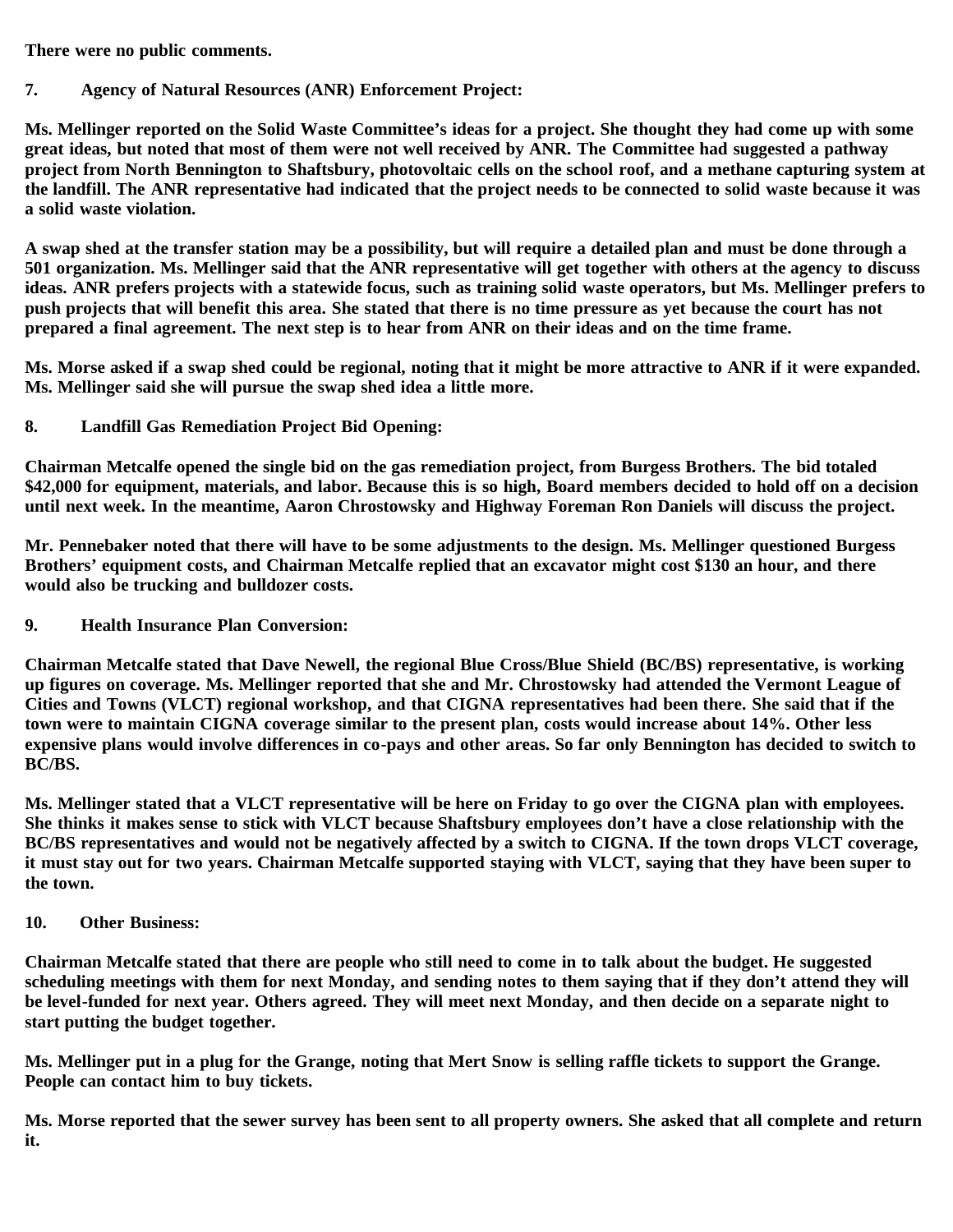**There were no public comments.**

## **7. Agency of Natural Resources (ANR) Enforcement Project:**

**Ms. Mellinger reported on the Solid Waste Committee's ideas for a project. She thought they had come up with some great ideas, but noted that most of them were not well received by ANR. The Committee had suggested a pathway project from North Bennington to Shaftsbury, photovoltaic cells on the school roof, and a methane capturing system at the landfill. The ANR representative had indicated that the project needs to be connected to solid waste because it was a solid waste violation.**

**A swap shed at the transfer station may be a possibility, but will require a detailed plan and must be done through a 501 organization. Ms. Mellinger said that the ANR representative will get together with others at the agency to discuss ideas. ANR prefers projects with a statewide focus, such as training solid waste operators, but Ms. Mellinger prefers to push projects that will benefit this area. She stated that there is no time pressure as yet because the court has not prepared a final agreement. The next step is to hear from ANR on their ideas and on the time frame.**

**Ms. Morse asked if a swap shed could be regional, noting that it might be more attractive to ANR if it were expanded. Ms. Mellinger said she will pursue the swap shed idea a little more.**

**8. Landfill Gas Remediation Project Bid Opening:**

**Chairman Metcalfe opened the single bid on the gas remediation project, from Burgess Brothers. The bid totaled \$42,000 for equipment, materials, and labor. Because this is so high, Board members decided to hold off on a decision until next week. In the meantime, Aaron Chrostowsky and Highway Foreman Ron Daniels will discuss the project.**

**Mr. Pennebaker noted that there will have to be some adjustments to the design. Ms. Mellinger questioned Burgess Brothers' equipment costs, and Chairman Metcalfe replied that an excavator might cost \$130 an hour, and there would also be trucking and bulldozer costs.**

**9. Health Insurance Plan Conversion:**

**Chairman Metcalfe stated that Dave Newell, the regional Blue Cross/Blue Shield (BC/BS) representative, is working up figures on coverage. Ms. Mellinger reported that she and Mr. Chrostowsky had attended the Vermont League of Cities and Towns (VLCT) regional workshop, and that CIGNA representatives had been there. She said that if the town were to maintain CIGNA coverage similar to the present plan, costs would increase about 14%. Other less expensive plans would involve differences in co-pays and other areas. So far only Bennington has decided to switch to BC/BS.**

**Ms. Mellinger stated that a VLCT representative will be here on Friday to go over the CIGNA plan with employees. She thinks it makes sense to stick with VLCT because Shaftsbury employees don't have a close relationship with the BC/BS representatives and would not be negatively affected by a switch to CIGNA. If the town drops VLCT coverage, it must stay out for two years. Chairman Metcalfe supported staying with VLCT, saying that they have been super to the town.**

**10. Other Business:**

**Chairman Metcalfe stated that there are people who still need to come in to talk about the budget. He suggested scheduling meetings with them for next Monday, and sending notes to them saying that if they don't attend they will be level-funded for next year. Others agreed. They will meet next Monday, and then decide on a separate night to start putting the budget together.**

**Ms. Mellinger put in a plug for the Grange, noting that Mert Snow is selling raffle tickets to support the Grange. People can contact him to buy tickets.**

**Ms. Morse reported that the sewer survey has been sent to all property owners. She asked that all complete and return it.**